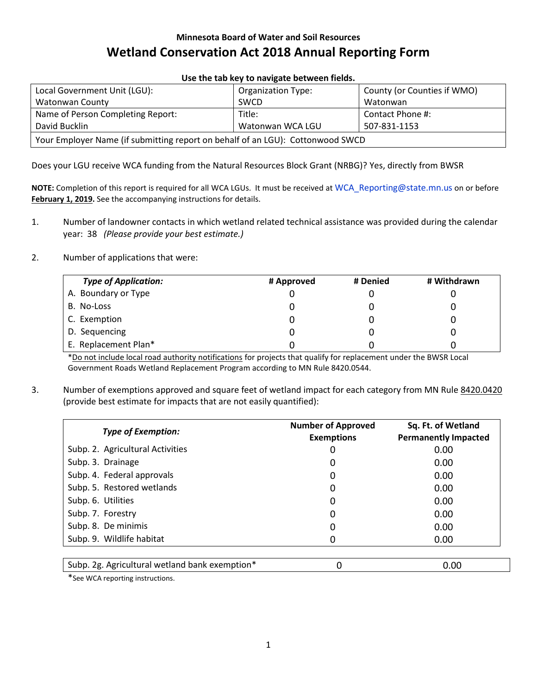## **Minnesota Board of Water and Soil Resources Wetland Conservation Act 2018 Annual Reporting Form**

| USE the tab Key to havigate between helds.                                     |                           |                             |  |  |
|--------------------------------------------------------------------------------|---------------------------|-----------------------------|--|--|
| Local Government Unit (LGU):                                                   | <b>Organization Type:</b> | County (or Counties if WMO) |  |  |
| Watonwan County                                                                | <b>SWCD</b>               | Watonwan                    |  |  |
| Name of Person Completing Report:                                              | Title:                    | Contact Phone #:            |  |  |
| David Bucklin                                                                  | Watonwan WCA LGU          | 507-831-1153                |  |  |
| Your Employer Name (if submitting report on behalf of an LGU): Cottonwood SWCD |                           |                             |  |  |

**Use the tab key to navigate between fields.**

Does your LGU receive WCA funding from the Natural Resources Block Grant (NRBG)? Yes, directly from BWSR

**NOTE:** Completion of this report is required for all WCA LGUs. It must be received at [WCA\\_Reporting@state.mn.us](mailto:WCA_Reporting@state.mn.us) on or before **February 1, 2019.** See the accompanying instructions for details.

- 1. Number of landowner contacts in which wetland related technical assistance was provided during the calendar year: 38 *(Please provide your best estimate.)*
- 2. Number of applications that were:

| <b>Type of Application:</b> | # Approved | # Denied | # Withdrawn |
|-----------------------------|------------|----------|-------------|
| A. Boundary or Type         |            |          |             |
| B. No-Loss                  |            |          |             |
| C. Exemption                |            |          |             |
| D. Sequencing               |            |          |             |
| E. Replacement Plan*        |            |          |             |

\*Do not include local road authority notifications for projects that qualify for replacement under the BWSR Local Government Roads Wetland Replacement Program according to MN Rule 8420.0544.

3. Number of exemptions approved and square feet of wetland impact for each category from MN Rule [8420.0420](https://www.revisor.mn.gov/rules/?id=8420.0420) (provide best estimate for impacts that are not easily quantified):

| <b>Type of Exemption:</b>        | <b>Number of Approved</b><br><b>Exemptions</b> | Sq. Ft. of Wetland<br><b>Permanently Impacted</b> |
|----------------------------------|------------------------------------------------|---------------------------------------------------|
| Subp. 2. Agricultural Activities | 0                                              | 0.00                                              |
| Subp. 3. Drainage                | 0                                              | 0.00                                              |
| Subp. 4. Federal approvals       | 0                                              | 0.00                                              |
| Subp. 5. Restored wetlands       | 0                                              | 0.00                                              |
| Subp. 6. Utilities               | 0                                              | 0.00                                              |
| Subp. 7. Forestry                | 0                                              | 0.00                                              |
| Subp. 8. De minimis              | 0                                              | 0.00                                              |
| Subp. 9. Wildlife habitat        | Ω                                              | 0.00                                              |
|                                  |                                                |                                                   |

| Subp. 2g. Agricultural wetland bank exemption* |  | 0.00 |
|------------------------------------------------|--|------|
|------------------------------------------------|--|------|

\*See WCA reporting instructions.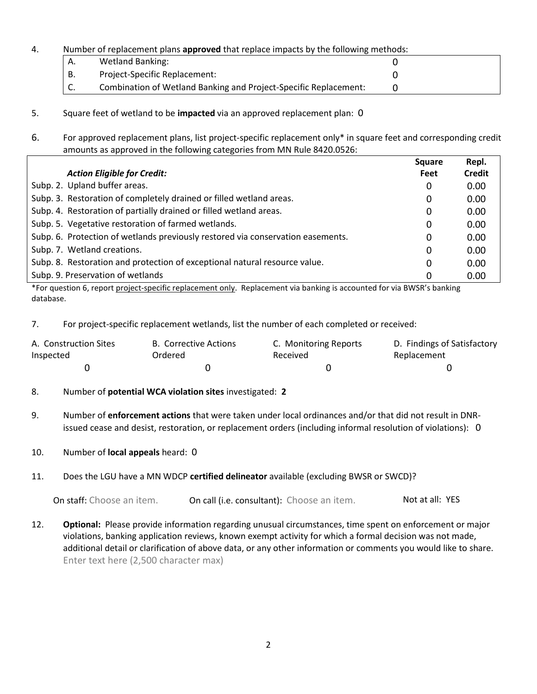#### 4. Number of replacement plans **approved** that replace impacts by the following methods:

| Α. | <b>Wetland Banking:</b>                                          |  |
|----|------------------------------------------------------------------|--|
| В. | Project-Specific Replacement:                                    |  |
| J. | Combination of Wetland Banking and Project-Specific Replacement: |  |

- 5. Square feet of wetland to be **impacted** via an approved replacement plan: 0
- 6. For approved replacement plans, list project-specific replacement only\* in square feet and corresponding credit amounts as approved in the following categories from MN Rule 8420.0526:

|                                                                                 | <b>Square</b> | Repl.  |
|---------------------------------------------------------------------------------|---------------|--------|
| <b>Action Eligible for Credit:</b>                                              | Feet          | Credit |
| Subp. 2. Upland buffer areas.                                                   | 0             | 0.00   |
| Subp. 3. Restoration of completely drained or filled wetland areas.             | 0             | 0.00   |
| Subp. 4. Restoration of partially drained or filled wetland areas.              | 0             | 0.00   |
| Subp. 5. Vegetative restoration of farmed wetlands.                             | 0             | 0.00   |
| Subp. 6. Protection of wetlands previously restored via conservation easements. | 0             | 0.00   |
| Subp. 7. Wetland creations.                                                     | 0             | 0.00   |
| Subp. 8. Restoration and protection of exceptional natural resource value.      | 0             | 0.00   |
| Subp. 9. Preservation of wetlands                                               | 0             | 0.00   |

\*For question 6, report project-specific replacement only. Replacement via banking is accounted for via BWSR's banking database.

7. For project-specific replacement wetlands, list the number of each completed or received:

| A. Construction Sites | B. Corrective Actions | C. Monitoring Reports | D. Findings of Satisfactory |
|-----------------------|-----------------------|-----------------------|-----------------------------|
| Inspected             | Ordered               | Received              | Replacement                 |
|                       |                       |                       |                             |

- 8. Number of **potential WCA violation sites** investigated: **2**
- 9. Number of **enforcement actions** that were taken under local ordinances and/or that did not result in DNRissued cease and desist, restoration, or replacement orders (including informal resolution of violations): 0
- 10. Number of **local appeals** heard: 0
- 11. Does the LGU have a MN WDCP **certified delineator** available (excluding BWSR or SWCD)?

On staff: Choose an item. On call (i.e. consultant): Choose an item. Not at all: YES

12. **Optional:** Please provide information regarding unusual circumstances, time spent on enforcement or major violations, banking application reviews, known exempt activity for which a formal decision was not made, additional detail or clarification of above data, or any other information or comments you would like to share. Enter text here (2,500 character max)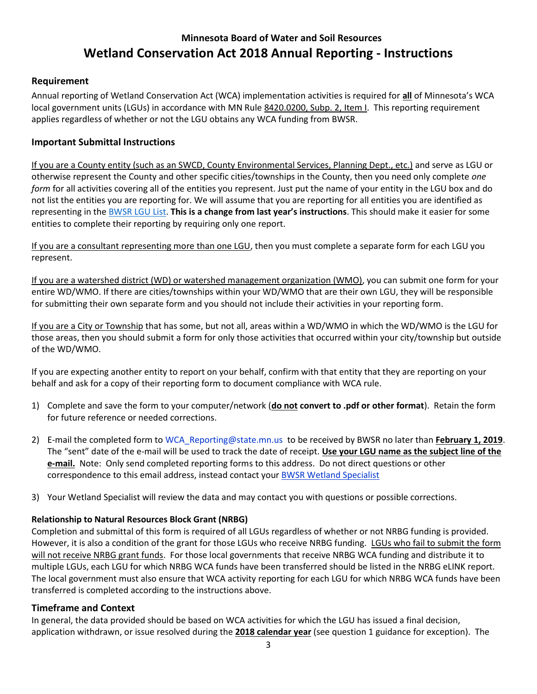# **Minnesota Board of Water and Soil Resources Wetland Conservation Act 2018 Annual Reporting - Instructions**

#### **Requirement**

Annual reporting of Wetland Conservation Act (WCA) implementation activities is required for **all** of Minnesota's WCA local government units (LGUs) in accordance with MN Rule [8420.0200, Subp. 2, Item I.](https://www.revisor.mn.gov/rules/?id=8420.0200) This reporting requirement applies regardless of whether or not the LGU obtains any WCA funding from BWSR.

### **Important Submittal Instructions**

If you are a County entity (such as an SWCD, County Environmental Services, Planning Dept., etc.) and serve as LGU or otherwise represent the County and other specific cities/townships in the County, then you need only complete *one form* for all activities covering all of the entities you represent. Just put the name of your entity in the LGU box and do not list the entities you are reporting for. We will assume that you are reporting for all entities you are identified as representing in the [BWSR LGU List.](http://www.bwsr.state.mn.us/partners/directories/WCA_LGU_Directory.pdf) **This is a change from last year's instructions**. This should make it easier for some entities to complete their reporting by requiring only one report.

If you are a consultant representing more than one LGU, then you must complete a separate form for each LGU you represent.

If you are a watershed district (WD) or watershed management organization (WMO), you can submit one form for your entire WD/WMO. If there are cities/townships within your WD/WMO that are their own LGU, they will be responsible for submitting their own separate form and you should not include their activities in your reporting form.

If you are a City or Township that has some, but not all, areas within a WD/WMO in which the WD/WMO is the LGU for those areas, then you should submit a form for only those activities that occurred within your city/township but outside of the WD/WMO.

If you are expecting another entity to report on your behalf, confirm with that entity that they are reporting on your behalf and ask for a copy of their reporting form to document compliance with WCA rule.

- 1) Complete and save the form to your computer/network (**do not convert to .pdf or other format**). Retain the form for future reference or needed corrections.
- 2) E-mail the completed form to [WCA\\_Reporting@state.mn.us](mailto:WCA_Reporting@state.mn.us) to be received by BWSR no later than **February 1, 2019**. The "sent" date of the e-mail will be used to track the date of receipt. **Use your LGU name as the subject line of the e-mail.** Note: Only send completed reporting forms to this address. Do not direct questions or other correspondence to this email address, instead contact your **[BWSR Wetland Specialist](http://www.bwsr.state.mn.us/maps/Website/Administrative%20Boundaries/BWSR%20Administrative/WCA_areas.pdf)**
- 3) Your Wetland Specialist will review the data and may contact you with questions or possible corrections.

#### **Relationship to Natural Resources Block Grant (NRBG)**

Completion and submittal of this form is required of all LGUs regardless of whether or not NRBG funding is provided. However, it is also a condition of the grant for those LGUs who receive NRBG funding. LGUs who fail to submit the form will not receive NRBG grant funds. For those local governments that receive NRBG WCA funding and distribute it to multiple LGUs, each LGU for which NRBG WCA funds have been transferred should be listed in the NRBG eLINK report. The local government must also ensure that WCA activity reporting for each LGU for which NRBG WCA funds have been transferred is completed according to the instructions above.

#### **Timeframe and Context**

In general, the data provided should be based on WCA activities for which the LGU has issued a final decision, application withdrawn, or issue resolved during the **2018 calendar year** (see question 1 guidance for exception). The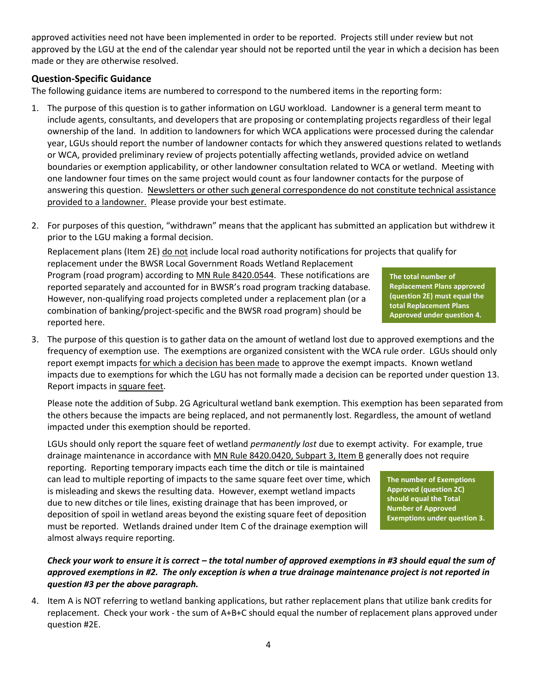approved activities need not have been implemented in order to be reported. Projects still under review but not approved by the LGU at the end of the calendar year should not be reported until the year in which a decision has been made or they are otherwise resolved.

### **Question-Specific Guidance**

The following guidance items are numbered to correspond to the numbered items in the reporting form:

- 1. The purpose of this question is to gather information on LGU workload. Landowner is a general term meant to include agents, consultants, and developers that are proposing or contemplating projects regardless of their legal ownership of the land. In addition to landowners for which WCA applications were processed during the calendar year, LGUs should report the number of landowner contacts for which they answered questions related to wetlands or WCA, provided preliminary review of projects potentially affecting wetlands, provided advice on wetland boundaries or exemption applicability, or other landowner consultation related to WCA or wetland. Meeting with one landowner four times on the same project would count as four landowner contacts for the purpose of answering this question. Newsletters or other such general correspondence do not constitute technical assistance provided to a landowner. Please provide your best estimate.
- 2. For purposes of this question, "withdrawn" means that the applicant has submitted an application but withdrew it prior to the LGU making a formal decision.

**The total number of**  Replacement plans (Item 2E) do not include local road authority notifications for projects that qualify for replacement under the BWSR Local Government Roads Wetland Replacement Program (road program) according to [MN Rule 8420.0544.](https://www.revisor.mn.gov/rules/?id=8420.0544) These notifications are reported separately and accounted for in BWSR's road program tracking database. However, non-qualifying road projects completed under a replacement plan (or a combination of banking/project-specific and the BWSR road program) should be reported here.

3. The purpose of this question is to gather data on the amount of wetland lost due to approved exemptions and the frequency of exemption use. The exemptions are organized consistent with the WCA rule order. LGUs should only report exempt impacts for which a decision has been made to approve the exempt impacts. Known wetland impacts due to exemptions for which the LGU has not formally made a decision can be reported under question 13. Report impacts in square feet.

Please note the addition of Subp. 2G Agricultural wetland bank exemption. This exemption has been separated from the others because the impacts are being replaced, and not permanently lost. Regardless, the amount of wetland impacted under this exemption should be reported.

LGUs should only report the square feet of wetland *permanently lost* due to exempt activity. For example, true drainage maintenance in accordance with [MN Rule 8420.0420, Subpart 3, Item B](https://www.revisor.mn.gov/rules/?id=8420.0420) generally does not require

reporting. Reporting temporary impacts each time the ditch or tile is maintained can lead to multiple reporting of impacts to the same square feet over time, which is misleading and skews the resulting data. However, exempt wetland impacts due to new ditches or tile lines, existing drainage that has been improved, or deposition of spoil in wetland areas beyond the existing square feet of deposition must be reported. Wetlands drained under Item C of the drainage exemption will almost always require reporting.

#### *Check your work to ensure it is correct – the total number of approved exemptions in #3 should equal the sum of approved exemptions in #2. The only exception is when a true drainage maintenance project is not reported in question #3 per the above paragraph.*

4. Item A is NOT referring to wetland banking applications, but rather replacement plans that utilize bank credits for replacement. Check your work - the sum of A+B+C should equal the number of replacement plans approved under question #2E.

**Replacement Plans approved (question 2E) must equal the total Replacement Plans Approved under question 4.** 

**The number of Exemptions Approved (question 2C) should equal the Total Number of Approved Exemptions under question 3.**